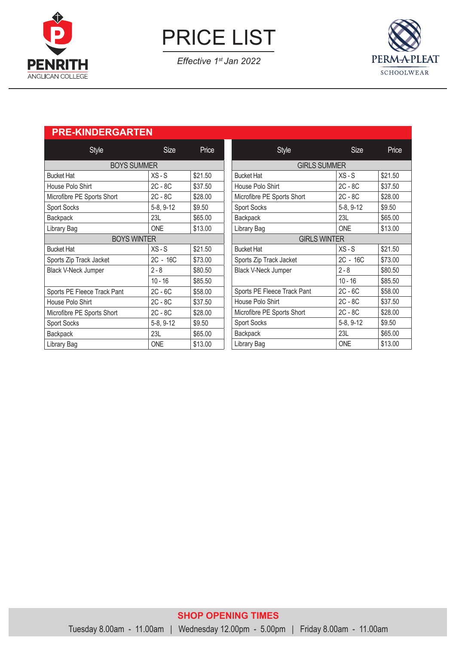

PRICE LIST

*Effective 1st Jan 2022*



# **PRE-KINDERGARTEN**

| Style                       | <b>Size</b> | Price   | Style                       |  |  |
|-----------------------------|-------------|---------|-----------------------------|--|--|
| <b>BOYS SUMMER</b>          |             |         | <b>GIRLS SUMMER</b>         |  |  |
| <b>Bucket Hat</b>           | $XS-S$      | \$21.50 | <b>Bucket Hat</b>           |  |  |
| House Polo Shirt            | $2C - 8C$   | \$37.50 | House Polo Shirt            |  |  |
| Microfibre PE Sports Short  | $2C - 8C$   | \$28.00 | Microfibre PE Sports Short  |  |  |
| Sport Socks                 | 5-8, 9-12   | \$9.50  | Sport Socks                 |  |  |
| Backpack                    | 23L         | \$65.00 | <b>Backpack</b>             |  |  |
| Library Bag                 | <b>ONE</b>  | \$13.00 | Library Bag                 |  |  |
| <b>BOYS WINTER</b>          |             |         | <b>GIRLS WINTER</b>         |  |  |
| <b>Bucket Hat</b>           | $XS-S$      | \$21.50 | <b>Bucket Hat</b>           |  |  |
| Sports Zip Track Jacket     | $2C - 16C$  | \$73.00 | Sports Zip Track Jacket     |  |  |
| Black V-Neck Jumper         | $2 - 8$     | \$80.50 | <b>Black V-Neck Jumper</b>  |  |  |
|                             | $10 - 16$   | \$85.50 |                             |  |  |
| Sports PE Fleece Track Pant | $2C - 6C$   | \$58.00 | Sports PE Fleece Track Pant |  |  |
| House Polo Shirt            | $2C - 8C$   | \$37.50 | House Polo Shirt            |  |  |
| Microfibre PE Sports Short  | $2C - 8C$   | \$28.00 | Microfibre PE Sports Short  |  |  |
| Sport Socks                 | 5-8, 9-12   | \$9.50  | Sport Socks                 |  |  |
| Backpack                    | 23L         | \$65.00 | <b>Backpack</b>             |  |  |
| Library Bag                 | <b>ONE</b>  | \$13.00 | Library Bag                 |  |  |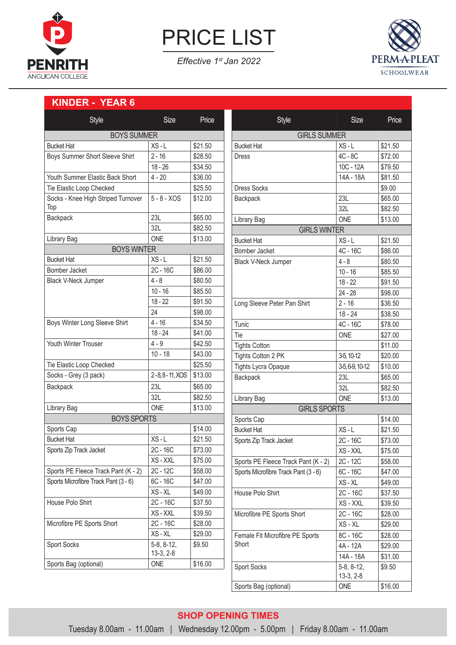

PRICE LIST

*Effective 1st Jan 2022*



### **KINDER - YEAR 6**

| Style                                | <b>Size</b>         | Price   | Style                                | <b>Size</b>                 | Price   |
|--------------------------------------|---------------------|---------|--------------------------------------|-----------------------------|---------|
| <b>BOYS SUMMER</b>                   |                     |         | <b>GIRLS SUMMER</b>                  |                             |         |
| <b>Bucket Hat</b>                    | $XS-L$              | \$21.50 | <b>Bucket Hat</b>                    | $XS-L$                      | \$21.50 |
| Boys Summer Short Sleeve Shirt       | $2 - 16$            | \$28.50 | <b>Dress</b>                         | $4C - 8C$                   | \$72.00 |
|                                      | $18 - 26$           | \$34.50 |                                      | 10C - 12A                   | \$79.50 |
| Youth Summer Elastic Back Short      | $4 - 20$            | \$36.00 |                                      | 14A - 18A                   | \$81.50 |
| Tie Elastic Loop Checked             |                     | \$25.50 | <b>Dress Socks</b>                   |                             | \$9.00  |
| Socks - Knee High Striped Turnover   | $5 - 8 - XOS$       | \$12.00 | Backpack                             | 23L                         | \$65.00 |
| Top                                  |                     |         |                                      | 32L                         | \$82.50 |
| Backpack                             | 23L                 | \$65.00 | Library Bag                          | <b>ONE</b>                  | \$13.00 |
|                                      | 32L                 | \$82.50 | <b>GIRLS WINTER</b>                  |                             |         |
| Library Bag                          | <b>ONE</b>          | \$13.00 | <b>Bucket Hat</b>                    | $XS - L$                    | \$21.50 |
| <b>BOYS WINTER</b>                   |                     |         | <b>Bomber Jacket</b>                 | 4C - 16C                    | \$86.00 |
| <b>Bucket Hat</b>                    | $XS-L$              | \$21.50 | Black V-Neck Jumper                  | $4 - 8$                     | \$80.50 |
| Bomber Jacket                        | 2C - 16C            | \$86.00 |                                      | $10 - 16$                   | \$85.50 |
| Black V-Neck Jumper                  | $4 - 8$             | \$80.50 |                                      | $18 - 22$                   | \$91.50 |
|                                      | $10 - 16$           | \$85.50 |                                      | $24 - 28$                   | \$98.00 |
|                                      | $18 - 22$           | \$91.50 | Long Sleeve Peter Pan Shirt          | $2 - 16$                    | \$36.50 |
|                                      | 24                  | \$98.00 |                                      | $18 - 24$                   | \$38.50 |
| Boys Winter Long Sleeve Shirt        | $4 - 16$            | \$34.50 | Tunic                                | 4C - 16C                    | \$78.00 |
|                                      | $18 - 24$           | \$41.00 | Tie                                  | <b>ONE</b>                  | \$27.00 |
| Youth Winter Trouser                 | $4 - 9$             | \$42.50 | <b>Tights Cotton</b>                 |                             | \$11.00 |
|                                      | $10 - 18$           | \$43.00 | Tights Cotton 2 PK                   | 3-5, 10-12                  | \$20.00 |
| Tie Elastic Loop Checked             |                     | \$25.50 | <b>Tights Lycra Opaque</b>           | 3-5, 6-9, 10-12             | \$10.00 |
| Socks - Grey (3 pack)                | 2-8, 8-11, XOS      | \$13.00 | Backpack                             | 23L                         | \$65.00 |
| Backpack                             | 23L                 | \$65.00 |                                      | 32L                         | \$82.50 |
|                                      | 32L                 | \$82.50 | Library Bag                          | <b>ONE</b>                  | \$13.00 |
| Library Bag                          | <b>ONE</b>          | \$13.00 | <b>GIRLS SPORTS</b>                  |                             |         |
| <b>BOYS SPORTS</b>                   |                     |         | Sports Cap                           |                             | \$14.00 |
| Sports Cap                           |                     | \$14.00 | <b>Bucket Hat</b>                    | $XS - L$                    | \$21.50 |
| <b>Bucket Hat</b>                    | $XS-L$              | \$21.50 | Sports Zip Track Jacket              | 2C - 16C                    | \$73.00 |
| Sports Zip Track Jacket              | 2C - 16C<br>\$73.00 |         | XS - XXL                             | \$75.00                     |         |
|                                      | XS-XXL              | \$75.00 | Sports PE Fleece Track Pant (K - 2)  | 2C - 12C                    | \$58.00 |
| Sports PE Fleece Track Pant (K - 2)  | 2C-12C              | \$58.00 | Sports Microfibre Track Pant (3 - 6) | $6C - 16C$                  | \$47.00 |
| Sports Microfibre Track Pant (3 - 6) | $6C - 16C$          | \$47.00 |                                      | XS-XL                       | \$49.00 |
|                                      | XS-XL               | \$49.00 | House Polo Shirt                     | 2C - 16C                    | \$37.50 |
| House Polo Shirt                     | 2C - 16C            | \$37.50 |                                      | XS - XXL                    | \$39.50 |
|                                      | XS - XXL            | \$39.50 | Microfibre PE Sports Short           | 2C - 16C                    | \$28.00 |
| Microfibre PE Sports Short           | 2C - 16C            | \$28.00 |                                      | XS - XL                     | \$29.00 |
|                                      | XS-XL               | \$29.00 | Female Fit Microfibre PE Sports      | 8C - 16C                    | \$28.00 |
| <b>Sport Socks</b>                   | 5-8, 8-12,          | \$9.50  | Short                                | 4A - 12A                    | \$29.00 |
|                                      | $13-3, 2-8$         |         |                                      | 14A - 18A                   | \$31.00 |
| Sports Bag (optional)                | ONE                 | \$16.00 | Sport Socks                          | $5-8, 8-12,$<br>$13-3, 2-8$ | \$9.50  |
|                                      |                     |         | Sports Bag (optional)                | ONE                         | \$16.00 |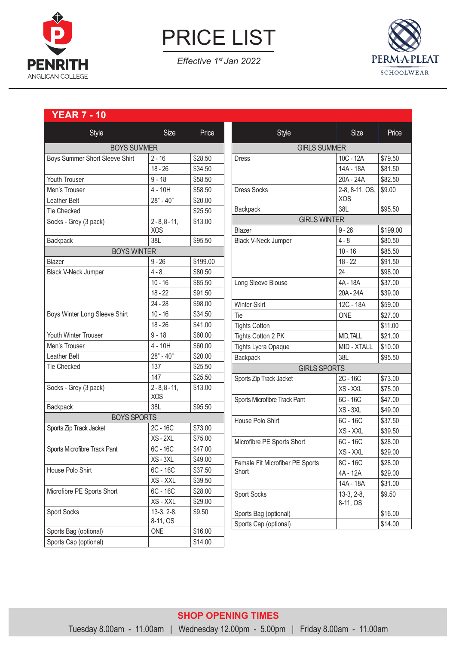

PRICE LIST

*Effective 1st Jan 2022*



# **YEAR 7 - 10**

| Style                          | <b>Size</b>      | Price    | Style                                    | <b>Size</b>    | Price    |  |
|--------------------------------|------------------|----------|------------------------------------------|----------------|----------|--|
| <b>BOYS SUMMER</b>             |                  |          | <b>GIRLS SUMMER</b>                      |                |          |  |
| Boys Summer Short Sleeve Shirt | $2 - 16$         | \$28.50  | <b>Dress</b>                             | 10C - 12A      | \$79.50  |  |
|                                | $18 - 26$        | \$34.50  |                                          | 14A - 18A      | \$81.50  |  |
| Youth Trouser                  | $9 - 18$         | \$58.50  |                                          | 20A - 24A      | \$82.50  |  |
| Men's Trouser                  | $4 - 10H$        | \$58.50  | <b>Dress Socks</b>                       | 2-8, 8-11, OS, | \$9.00   |  |
| Leather Belt                   | $28" - 40"$      | \$20.00  |                                          | <b>XOS</b>     |          |  |
| <b>Tie Checked</b>             |                  | \$25.50  | Backpack                                 | 38L            | \$95.50  |  |
| Socks - Grey (3 pack)          | $2 - 8, 8 - 11,$ | \$13.00  | <b>GIRLS WINTER</b>                      |                |          |  |
|                                | <b>XOS</b>       |          | Blazer                                   | $9 - 26$       | \$199.00 |  |
| Backpack                       | 38L              | \$95.50  | Black V-Neck Jumper                      | $4 - 8$        | \$80.50  |  |
| <b>BOYS WINTER</b>             |                  |          |                                          | $10 - 16$      | \$85.50  |  |
| Blazer                         | $9 - 26$         | \$199.00 |                                          | $18 - 22$      | \$91.50  |  |
| <b>Black V-Neck Jumper</b>     | $4 - 8$          | \$80.50  |                                          | 24             | \$98.00  |  |
|                                | $10 - 16$        | \$85.50  | Long Sleeve Blouse                       | 4A - 18A       | \$37.00  |  |
|                                | $18 - 22$        | \$91.50  |                                          | 20A - 24A      | \$39.00  |  |
|                                | $24 - 28$        | \$98.00  | <b>Winter Skirt</b>                      | 12C - 18A      | \$59.00  |  |
| Boys Winter Long Sleeve Shirt  | $10 - 16$        | \$34.50  | Tie                                      | <b>ONE</b>     | \$27.00  |  |
|                                | $18 - 26$        | \$41.00  | <b>Tights Cotton</b>                     |                | \$11.00  |  |
| Youth Winter Trouser           | $9 - 18$         | \$60.00  | Tights Cotton 2 PK                       | MID, TALL      | \$21.00  |  |
| Men's Trouser                  | $4 - 10H$        | \$60.00  | <b>Tights Lycra Opaque</b>               | MID - XTALL    | \$10.00  |  |
| Leather Belt                   | $28" - 40"$      | \$20.00  | Backpack                                 | 38L            | \$95.50  |  |
| <b>Tie Checked</b>             | 137              | \$25.50  | <b>GIRLS SPORTS</b>                      |                |          |  |
|                                | 147              | \$25.50  | Sports Zip Track Jacket                  | 2C - 16C       | \$73.00  |  |
| Socks - Grey (3 pack)          | $2 - 8, 8 - 11,$ | \$13.00  |                                          | XS - XXL       | \$75.00  |  |
|                                | <b>XOS</b>       |          | Sports Microfibre Track Pant             | $6C - 16C$     | \$47.00  |  |
| Backpack                       | 38L              | \$95.50  |                                          | XS-3XL         | \$49.00  |  |
| <b>BOYS SPORTS</b>             |                  |          | House Polo Shirt                         | 6C - 16C       | \$37.50  |  |
| Sports Zip Track Jacket        | 2C - 16C         | \$73.00  |                                          | XS - XXL       | \$39.50  |  |
|                                | $XS - 2XL$       | \$75.00  | Microfibre PE Sports Short               | 6C - 16C       | \$28.00  |  |
| Sports Microfibre Track Pant   | $6C - 16C$       | \$47.00  |                                          | XS - XXL       | \$29.00  |  |
| House Polo Shirt               | XS-3XL           | \$49.00  | Female Fit Microfiber PE Sports<br>Short | 8C - 16C       | \$28.00  |  |
|                                | 6C - 16C         | \$37.50  |                                          | 4A - 12A       | \$29.00  |  |
|                                | XS - XXL         | \$39.50  |                                          | 14A - 18A      | \$31.00  |  |
| Microfibre PE Sports Short     | $6C - 16C$       | \$28.00  | <b>Sport Socks</b>                       | $13-3, 2-8,$   | \$9.50   |  |
|                                | XS - XXL         | \$29.00  |                                          | 8-11, OS       |          |  |
| Sport Socks                    | $13-3, 2-8,$     | \$9.50   | Sports Bag (optional)                    |                | \$16.00  |  |
|                                | 8-11, OS         |          | Sports Cap (optional)                    |                | \$14.00  |  |
| Sports Bag (optional)          | ONE              | \$16.00  |                                          |                |          |  |
| Sports Cap (optional)          |                  | \$14.00  |                                          |                |          |  |

## **SHOP OPENING TIMES**  Tuesday 8.00am - 11.00am | Wednesday 12.00pm - 5.00pm | Friday 8.00am - 11.00am